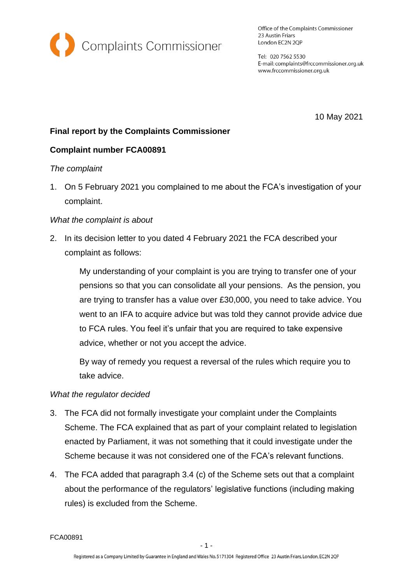

Office of the Complaints Commissioner 23 Austin Friars London EC2N 2QP

Tel: 020 7562 5530 E-mail: complaints@frccommissioner.org.uk www.frccommissioner.org.uk

10 May 2021

## **Final report by the Complaints Commissioner**

## **Complaint number FCA00891**

### *The complaint*

1. On 5 February 2021 you complained to me about the FCA's investigation of your complaint.

### *What the complaint is about*

2. In its decision letter to you dated 4 February 2021 the FCA described your complaint as follows:

> My understanding of your complaint is you are trying to transfer one of your pensions so that you can consolidate all your pensions. As the pension, you are trying to transfer has a value over £30,000, you need to take advice. You went to an IFA to acquire advice but was told they cannot provide advice due to FCA rules. You feel it's unfair that you are required to take expensive advice, whether or not you accept the advice.

By way of remedy you request a reversal of the rules which require you to take advice.

### *What the regulator decided*

- 3. The FCA did not formally investigate your complaint under the Complaints Scheme. The FCA explained that as part of your complaint related to legislation enacted by Parliament, it was not something that it could investigate under the Scheme because it was not considered one of the FCA's relevant functions.
- 4. The FCA added that paragraph 3.4 (c) of the Scheme sets out that a complaint about the performance of the regulators' legislative functions (including making rules) is excluded from the Scheme.

FCA00891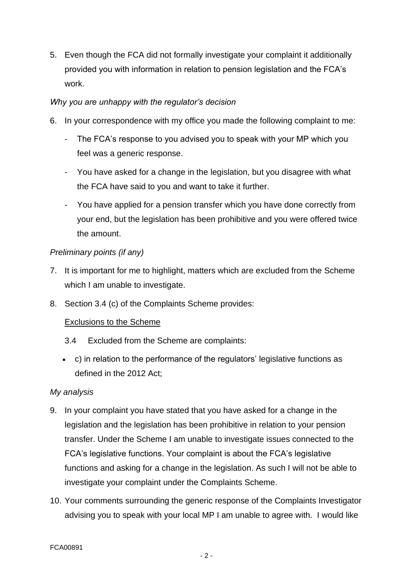5. Even though the FCA did not formally investigate your complaint it additionally provided you with information in relation to pension legislation and the FCA's work.

## *Why you are unhappy with the regulator's decision*

- 6. In your correspondence with my office you made the following complaint to me:
	- The FCA's response to you advised you to speak with your MP which you feel was a generic response.
	- You have asked for a change in the legislation, but you disagree with what the FCA have said to you and want to take it further.
	- You have applied for a pension transfer which you have done correctly from your end, but the legislation has been prohibitive and you were offered twice the amount.

# *Preliminary points (if any)*

- 7. It is important for me to highlight, matters which are excluded from the Scheme which I am unable to investigate.
- 8. Section 3.4 (c) of the Complaints Scheme provides:

## Exclusions to the Scheme

- 3.4 Excluded from the Scheme are complaints:
- c) in relation to the performance of the regulators' legislative functions as defined in the 2012 Act;

## *My analysis*

- 9. In your complaint you have stated that you have asked for a change in the legislation and the legislation has been prohibitive in relation to your pension transfer. Under the Scheme I am unable to investigate issues connected to the FCA's legislative functions. Your complaint is about the FCA's legislative functions and asking for a change in the legislation. As such I will not be able to investigate your complaint under the Complaints Scheme.
- 10. Your comments surrounding the generic response of the Complaints Investigator advising you to speak with your local MP I am unable to agree with. I would like